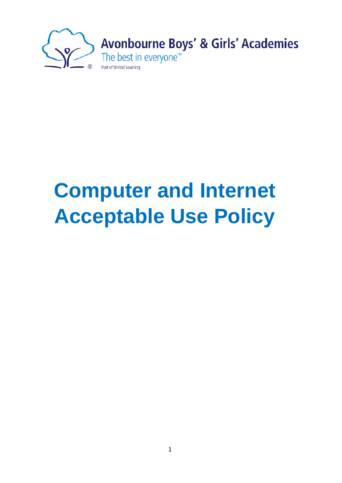

## **Computer and Internet Acceptable Use Policy**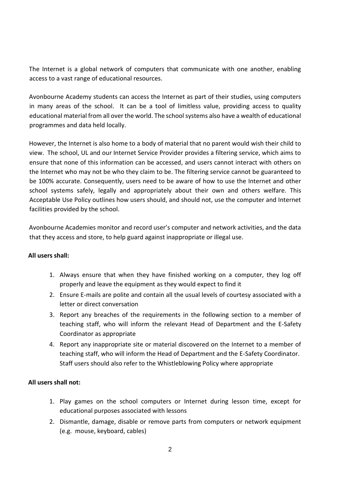The Internet is a global network of computers that communicate with one another, enabling access to a vast range of educational resources.

Avonbourne Academy students can access the Internet as part of their studies, using computers in many areas of the school. It can be a tool of limitless value, providing access to quality educational material from all over the world. The school systems also have a wealth of educational programmes and data held locally.

However, the Internet is also home to a body of material that no parent would wish their child to view. The school, UL and our Internet Service Provider provides a filtering service, which aims to ensure that none of this information can be accessed, and users cannot interact with others on the Internet who may not be who they claim to be. The filtering service cannot be guaranteed to be 100% accurate. Consequently, users need to be aware of how to use the Internet and other school systems safely, legally and appropriately about their own and others welfare. This Acceptable Use Policy outlines how users should, and should not, use the computer and Internet facilities provided by the school.

Avonbourne Academies monitor and record user's computer and network activities, and the data that they access and store, to help guard against inappropriate or illegal use.

## **All users shall:**

- 1. Always ensure that when they have finished working on a computer, they log off properly and leave the equipment as they would expect to find it
- 2. Ensure E-mails are polite and contain all the usual levels of courtesy associated with a letter or direct conversation
- 3. Report any breaches of the requirements in the following section to a member of teaching staff, who will inform the relevant Head of Department and the E-Safety Coordinator as appropriate
- 4. Report any inappropriate site or material discovered on the Internet to a member of teaching staff, who will inform the Head of Department and the E-Safety Coordinator. Staff users should also refer to the Whistleblowing Policy where appropriate

## **All users shall not:**

- 1. Play games on the school computers or Internet during lesson time, except for educational purposes associated with lessons
- 2. Dismantle, damage, disable or remove parts from computers or network equipment (e.g. mouse, keyboard, cables)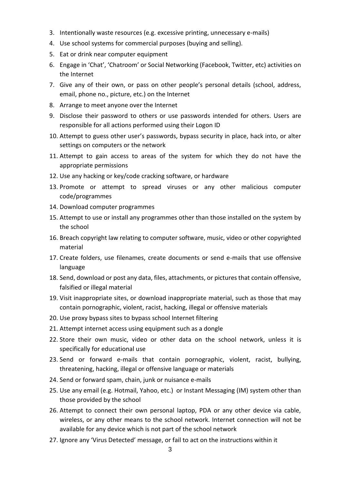- 3. Intentionally waste resources (e.g. excessive printing, unnecessary e-mails)
- 4. Use school systems for commercial purposes (buying and selling).
- 5. Eat or drink near computer equipment
- 6. Engage in 'Chat', 'Chatroom' or Social Networking (Facebook, Twitter, etc) activities on the Internet
- 7. Give any of their own, or pass on other people's personal details (school, address, email, phone no., picture, etc.) on the Internet
- 8. Arrange to meet anyone over the Internet
- 9. Disclose their password to others or use passwords intended for others. Users are responsible for all actions performed using their Logon ID
- 10. Attempt to guess other user's passwords, bypass security in place, hack into, or alter settings on computers or the network
- 11. Attempt to gain access to areas of the system for which they do not have the appropriate permissions
- 12. Use any hacking or key/code cracking software, or hardware
- 13. Promote or attempt to spread viruses or any other malicious computer code/programmes
- 14. Download computer programmes
- 15. Attempt to use or install any programmes other than those installed on the system by the school
- 16. Breach copyright law relating to computer software, music, video or other copyrighted material
- 17. Create folders, use filenames, create documents or send e-mails that use offensive language
- 18. Send, download or post any data, files, attachments, or pictures that contain offensive, falsified or illegal material
- 19. Visit inappropriate sites, or download inappropriate material, such as those that may contain pornographic, violent, racist, hacking, illegal or offensive materials
- 20. Use proxy bypass sites to bypass school Internet filtering
- 21. Attempt internet access using equipment such as a dongle
- 22. Store their own music, video or other data on the school network, unless it is specifically for educational use
- 23. Send or forward e-mails that contain pornographic, violent, racist, bullying, threatening, hacking, illegal or offensive language or materials
- 24. Send or forward spam, chain, junk or nuisance e-mails
- 25. Use any email (e.g. Hotmail, Yahoo, etc.) or Instant Messaging (IM) system other than those provided by the school
- 26. Attempt to connect their own personal laptop, PDA or any other device via cable, wireless, or any other means to the school network. Internet connection will not be available for any device which is not part of the school network
- 27. Ignore any 'Virus Detected' message, or fail to act on the instructions within it